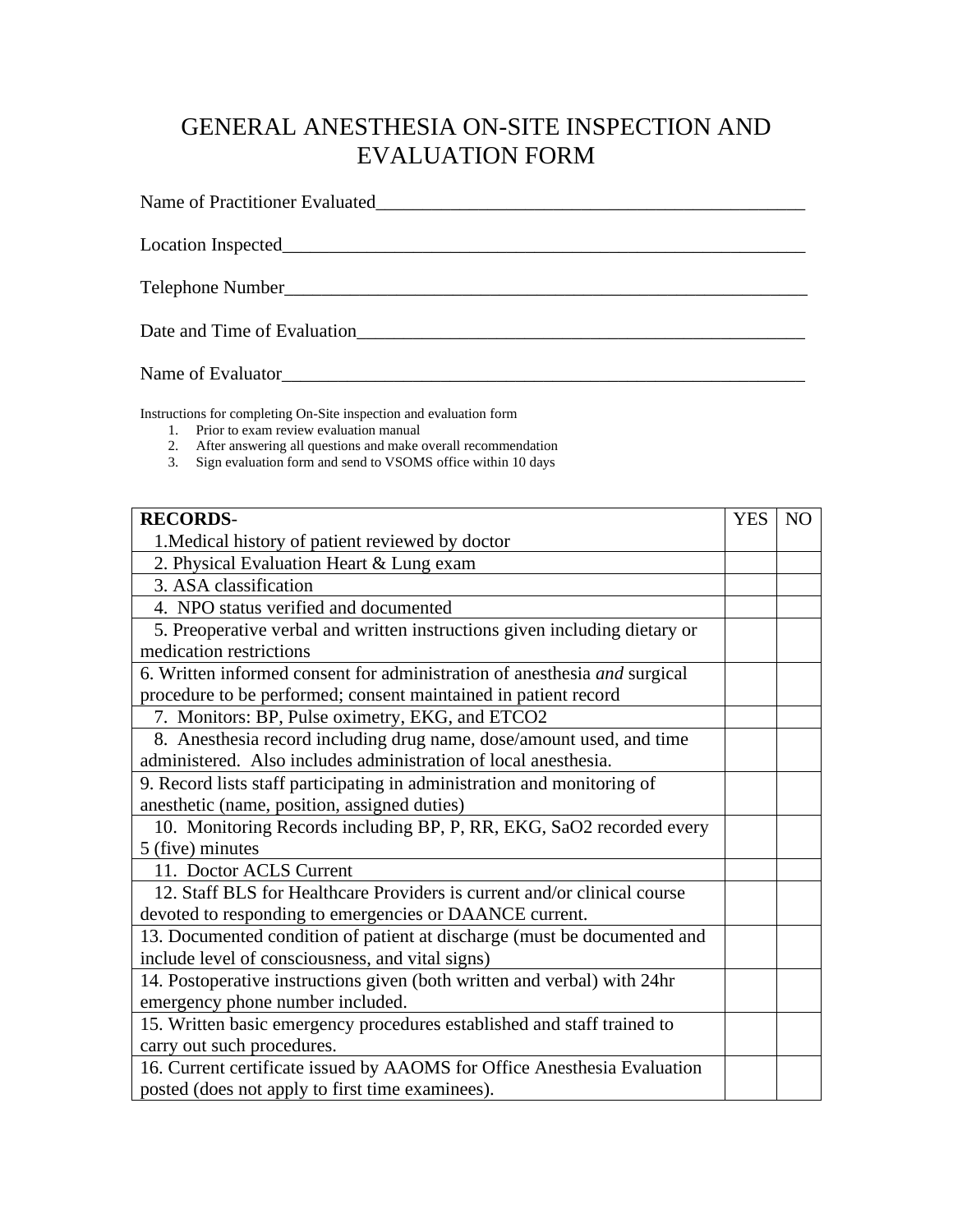## GENERAL ANESTHESIA ON-SITE INSPECTION AND EVALUATION FORM

Name of Practitioner Evaluated\_\_\_\_\_\_\_\_\_\_\_\_\_\_\_\_\_\_\_\_\_\_\_\_\_\_\_\_\_\_\_\_\_\_\_\_\_\_\_\_\_\_\_\_\_\_

Location Inspected\_\_\_\_\_\_\_\_\_\_\_\_\_\_\_\_\_\_\_\_\_\_\_\_\_\_\_\_\_\_\_\_\_\_\_\_\_\_\_\_\_\_\_\_\_\_\_\_\_\_\_\_\_\_\_\_

Telephone Number\_\_\_\_\_\_\_\_\_\_\_\_\_\_\_\_\_\_\_\_\_\_\_\_\_\_\_\_\_\_\_\_\_\_\_\_\_\_\_\_\_\_\_\_\_\_\_\_\_\_\_\_\_\_\_\_

Date and Time of Evaluation\_\_\_\_\_\_\_\_\_\_\_\_\_\_\_\_\_\_\_\_\_\_\_\_\_\_\_\_\_\_\_\_\_\_\_\_\_\_\_\_\_\_\_\_\_\_\_\_

Name of Evaluator\_\_\_\_\_\_\_\_\_\_\_\_\_\_\_\_\_\_\_\_\_\_\_\_\_\_\_\_\_\_\_\_\_\_\_\_\_\_\_\_\_\_\_\_\_\_\_\_\_\_\_\_\_\_\_\_

Instructions for completing On-Site inspection and evaluation form

- 1. Prior to exam review evaluation manual
- 2. After answering all questions and make overall recommendation
- 3. Sign evaluation form and send to VSOMS office within 10 days

| <b>RECORDS-</b>                                                            | <b>YES</b> | N <sub>O</sub> |
|----------------------------------------------------------------------------|------------|----------------|
| 1. Medical history of patient reviewed by doctor                           |            |                |
| 2. Physical Evaluation Heart & Lung exam                                   |            |                |
| 3. ASA classification                                                      |            |                |
| 4. NPO status verified and documented                                      |            |                |
| 5. Preoperative verbal and written instructions given including dietary or |            |                |
| medication restrictions                                                    |            |                |
| 6. Written informed consent for administration of anesthesia and surgical  |            |                |
| procedure to be performed; consent maintained in patient record            |            |                |
| 7. Monitors: BP, Pulse oximetry, EKG, and ETCO2                            |            |                |
| 8. Anesthesia record including drug name, dose/amount used, and time       |            |                |
| administered. Also includes administration of local anesthesia.            |            |                |
| 9. Record lists staff participating in administration and monitoring of    |            |                |
| anesthetic (name, position, assigned duties)                               |            |                |
| 10. Monitoring Records including BP, P, RR, EKG, SaO2 recorded every       |            |                |
| 5 (five) minutes                                                           |            |                |
| 11. Doctor ACLS Current                                                    |            |                |
| 12. Staff BLS for Healthcare Providers is current and/or clinical course   |            |                |
| devoted to responding to emergencies or DAANCE current.                    |            |                |
| 13. Documented condition of patient at discharge (must be documented and   |            |                |
| include level of consciousness, and vital signs)                           |            |                |
| 14. Postoperative instructions given (both written and verbal) with 24hr   |            |                |
| emergency phone number included.                                           |            |                |
| 15. Written basic emergency procedures established and staff trained to    |            |                |
| carry out such procedures.                                                 |            |                |
| 16. Current certificate issued by AAOMS for Office Anesthesia Evaluation   |            |                |
| posted (does not apply to first time examinees).                           |            |                |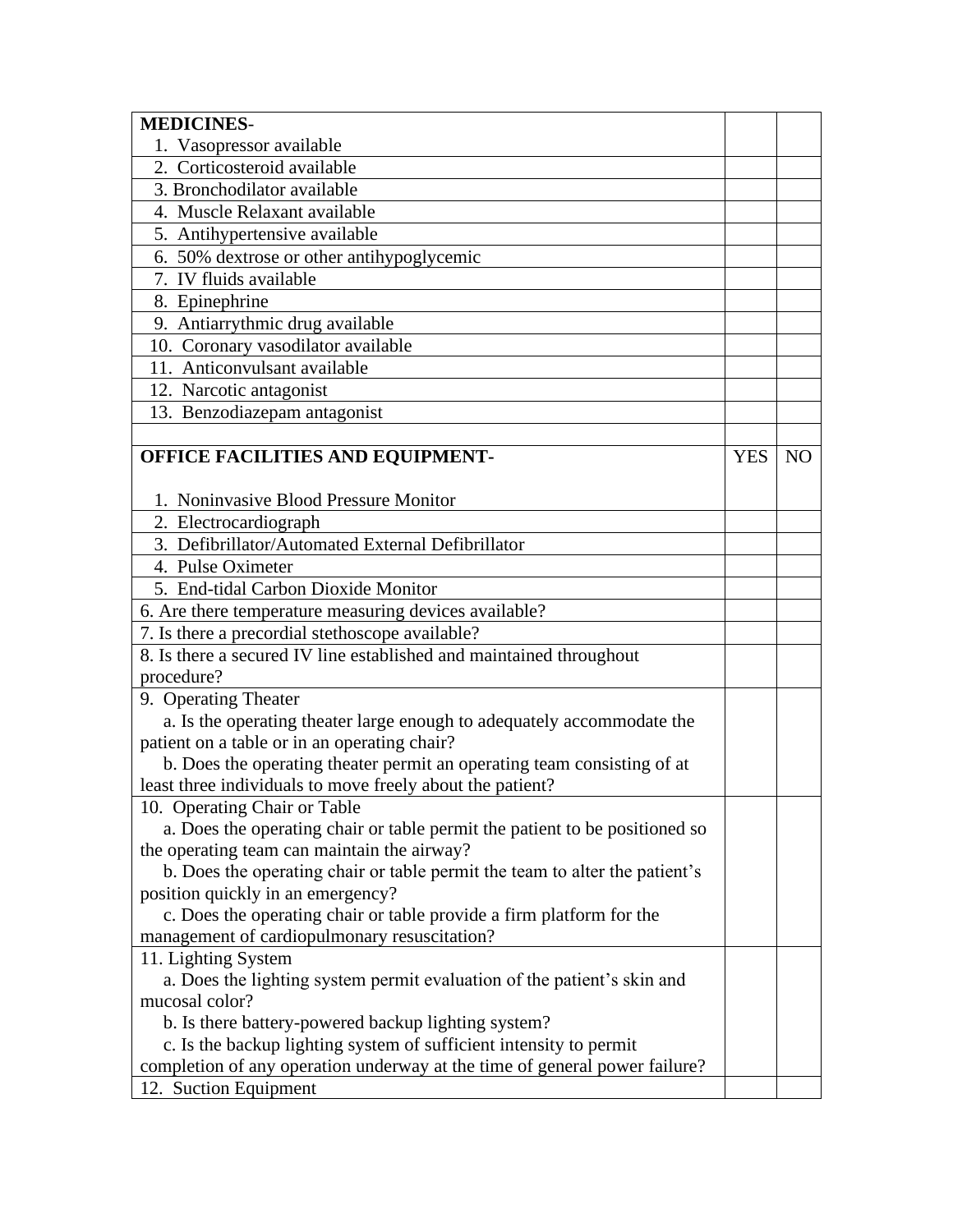| <b>MEDICINES-</b>                                                           |            |                |
|-----------------------------------------------------------------------------|------------|----------------|
| 1. Vasopressor available                                                    |            |                |
| 2. Corticosteroid available                                                 |            |                |
| 3. Bronchodilator available                                                 |            |                |
| 4. Muscle Relaxant available                                                |            |                |
| 5. Antihypertensive available                                               |            |                |
| 6. 50% dextrose or other antihypoglycemic                                   |            |                |
| 7. IV fluids available                                                      |            |                |
| 8. Epinephrine                                                              |            |                |
| 9. Antiarrythmic drug available                                             |            |                |
| 10. Coronary vasodilator available                                          |            |                |
| 11. Anticonvulsant available                                                |            |                |
| 12. Narcotic antagonist                                                     |            |                |
| 13. Benzodiazepam antagonist                                                |            |                |
|                                                                             |            |                |
| OFFICE FACILITIES AND EQUIPMENT-                                            | <b>YES</b> | N <sub>O</sub> |
|                                                                             |            |                |
| 1. Noninvasive Blood Pressure Monitor                                       |            |                |
| 2. Electrocardiograph                                                       |            |                |
| 3. Defibrillator/Automated External Defibrillator                           |            |                |
| 4. Pulse Oximeter                                                           |            |                |
| 5. End-tidal Carbon Dioxide Monitor                                         |            |                |
|                                                                             |            |                |
| 6. Are there temperature measuring devices available?                       |            |                |
| 7. Is there a precordial stethoscope available?                             |            |                |
| 8. Is there a secured IV line established and maintained throughout         |            |                |
| procedure?                                                                  |            |                |
| 9. Operating Theater                                                        |            |                |
| a. Is the operating theater large enough to adequately accommodate the      |            |                |
| patient on a table or in an operating chair?                                |            |                |
| b. Does the operating theater permit an operating team consisting of at     |            |                |
| least three individuals to move freely about the patient?                   |            |                |
| 10. Operating Chair or Table                                                |            |                |
| a. Does the operating chair or table permit the patient to be positioned so |            |                |
| the operating team can maintain the airway?                                 |            |                |
| b. Does the operating chair or table permit the team to alter the patient's |            |                |
| position quickly in an emergency?                                           |            |                |
| c. Does the operating chair or table provide a firm platform for the        |            |                |
| management of cardiopulmonary resuscitation?                                |            |                |
| 11. Lighting System                                                         |            |                |
| a. Does the lighting system permit evaluation of the patient's skin and     |            |                |
| mucosal color?                                                              |            |                |
| b. Is there battery-powered backup lighting system?                         |            |                |
| c. Is the backup lighting system of sufficient intensity to permit          |            |                |
| completion of any operation underway at the time of general power failure?  |            |                |
| 12. Suction Equipment                                                       |            |                |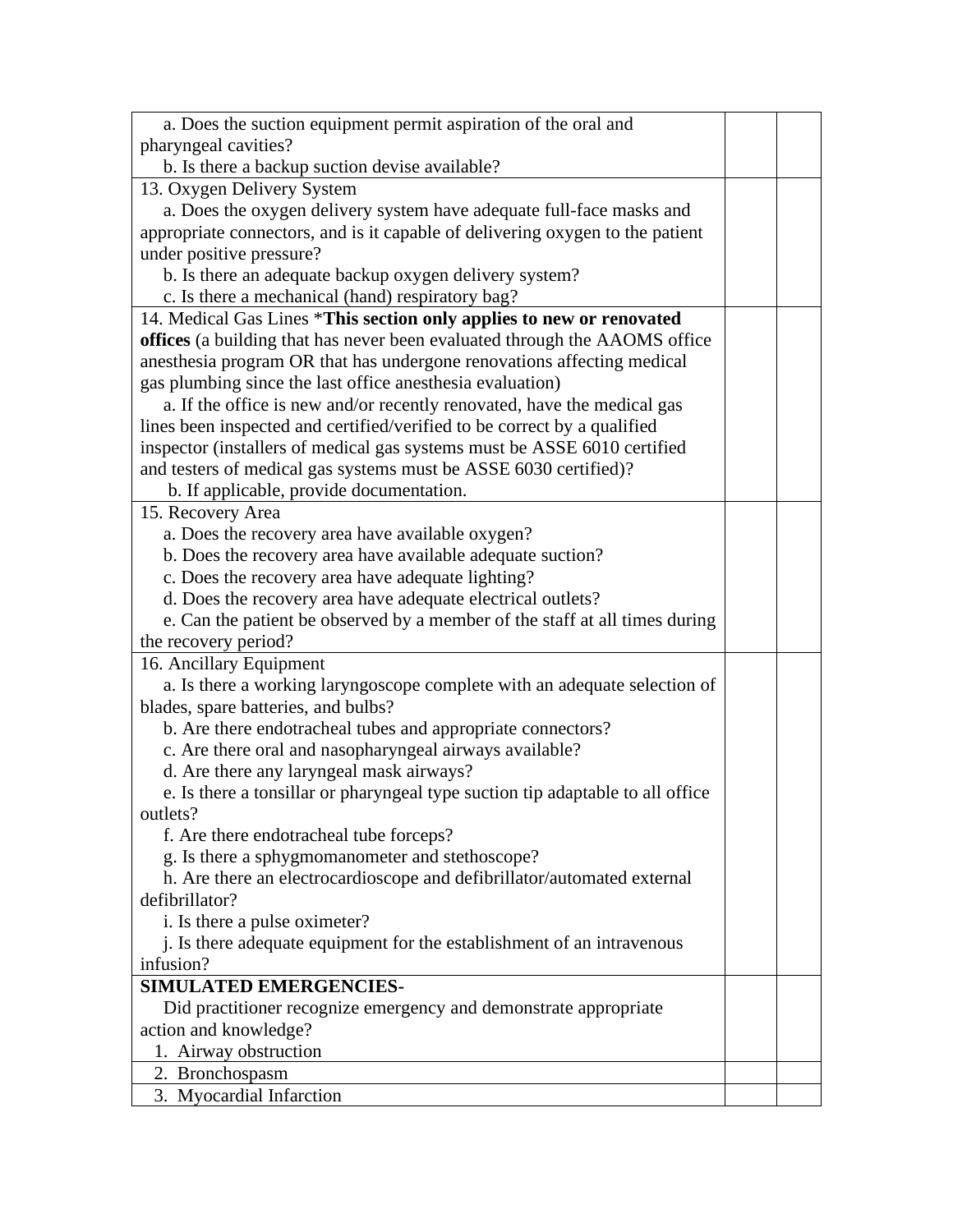| a. Does the suction equipment permit aspiration of the oral and                |  |
|--------------------------------------------------------------------------------|--|
| pharyngeal cavities?                                                           |  |
| b. Is there a backup suction devise available?                                 |  |
| 13. Oxygen Delivery System                                                     |  |
| a. Does the oxygen delivery system have adequate full-face masks and           |  |
| appropriate connectors, and is it capable of delivering oxygen to the patient  |  |
| under positive pressure?                                                       |  |
| b. Is there an adequate backup oxygen delivery system?                         |  |
| c. Is there a mechanical (hand) respiratory bag?                               |  |
| 14. Medical Gas Lines *This section only applies to new or renovated           |  |
| offices (a building that has never been evaluated through the AAOMS office     |  |
| anesthesia program OR that has undergone renovations affecting medical         |  |
| gas plumbing since the last office anesthesia evaluation)                      |  |
| a. If the office is new and/or recently renovated, have the medical gas        |  |
| lines been inspected and certified/verified to be correct by a qualified       |  |
| inspector (installers of medical gas systems must be ASSE 6010 certified       |  |
| and testers of medical gas systems must be ASSE 6030 certified)?               |  |
| b. If applicable, provide documentation.                                       |  |
| 15. Recovery Area                                                              |  |
| a. Does the recovery area have available oxygen?                               |  |
| b. Does the recovery area have available adequate suction?                     |  |
| c. Does the recovery area have adequate lighting?                              |  |
| d. Does the recovery area have adequate electrical outlets?                    |  |
| e. Can the patient be observed by a member of the staff at all times during    |  |
| the recovery period?                                                           |  |
| 16. Ancillary Equipment                                                        |  |
| a. Is there a working laryngoscope complete with an adequate selection of      |  |
| blades, spare batteries, and bulbs?                                            |  |
| b. Are there endotracheal tubes and appropriate connectors?                    |  |
| c. Are there oral and nasopharyngeal airways available?                        |  |
| d. Are there any laryngeal mask airways?                                       |  |
| e. Is there a tonsillar or pharyngeal type suction tip adaptable to all office |  |
| outlets?                                                                       |  |
| f. Are there endotracheal tube forceps?                                        |  |
| g. Is there a sphygmomanometer and stethoscope?                                |  |
| h. Are there an electrocardioscope and defibrillator/automated external        |  |
| defibrillator?                                                                 |  |
| i. Is there a pulse oximeter?                                                  |  |
| j. Is there adequate equipment for the establishment of an intravenous         |  |
| infusion?                                                                      |  |
| <b>SIMULATED EMERGENCIES-</b>                                                  |  |
| Did practitioner recognize emergency and demonstrate appropriate               |  |
| action and knowledge?                                                          |  |
| 1. Airway obstruction                                                          |  |
| 2. Bronchospasm                                                                |  |
| 3. Myocardial Infarction                                                       |  |